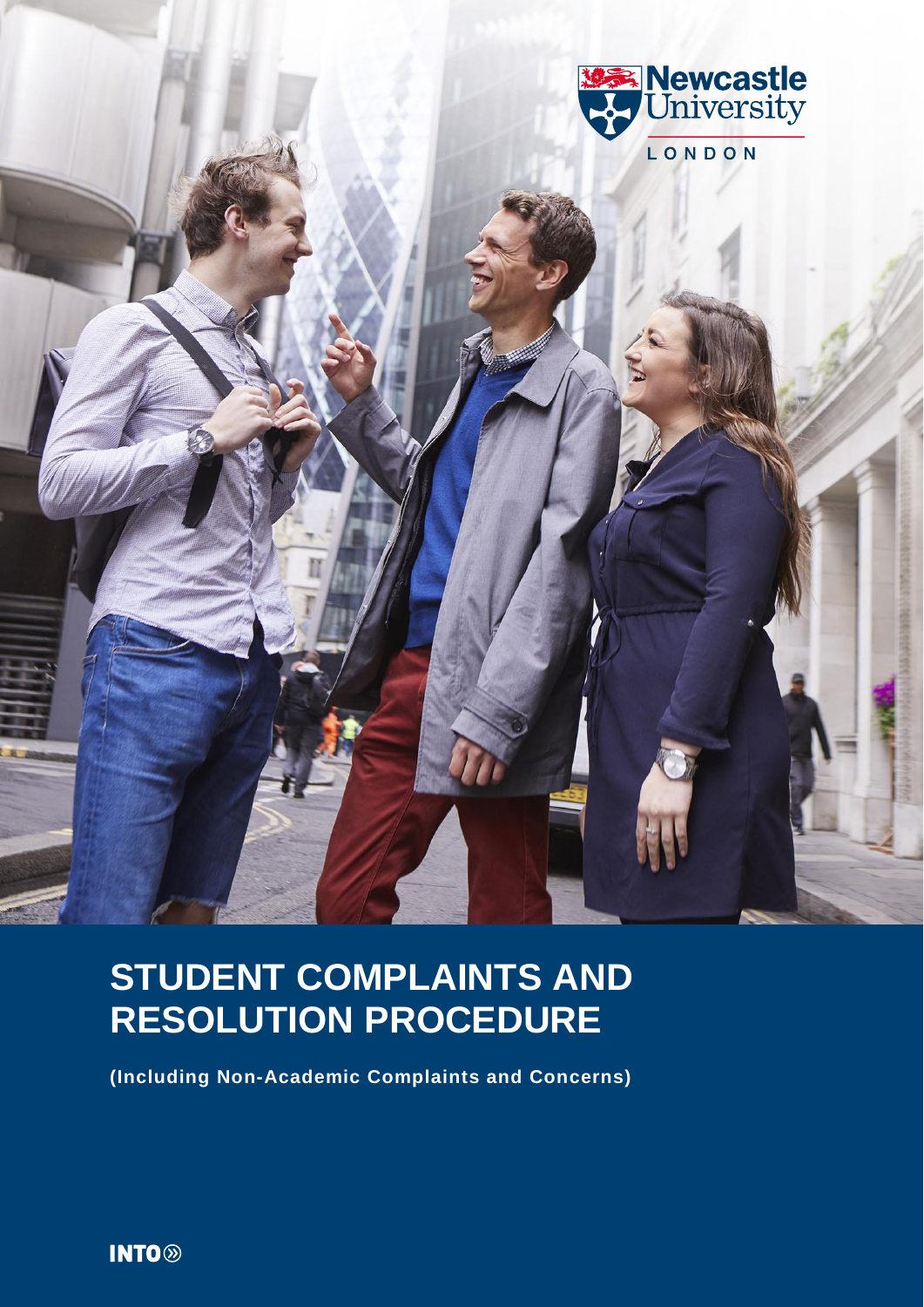

# **STUDENT COMPLAINTS AND RESOLUTION PROCEDURE**

**(Including Non-Academic Complaints and Concerns)**

**INTO**<sup>®</sup>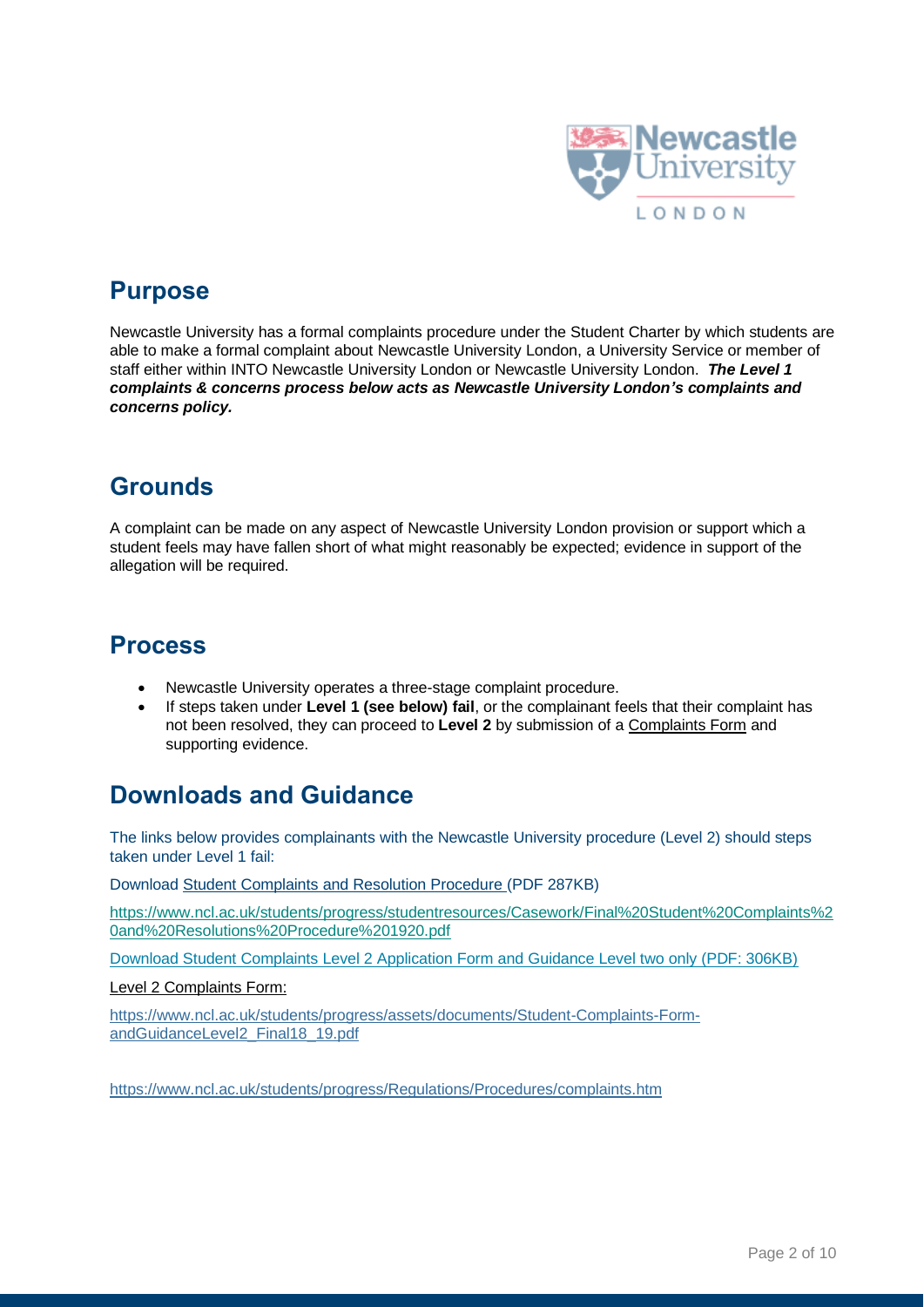

# **Purpose**

Newcastle University has a formal complaints procedure under the Student Charter by which students are able to make a formal complaint about Newcastle University London, a University Service or member of staff either within INTO Newcastle University London or Newcastle University London. *The Level 1 complaints & concerns process below acts as Newcastle University London's complaints and concerns policy.*

# **Grounds**

A complaint can be made on any aspect of Newcastle University London provision or support which a student feels may have fallen short of what might reasonably be expected; evidence in support of the allegation will be required.

# **Process**

- Newcastle University operates a three-stage complaint procedure.
- If steps taken under **Level 1 (see below) fail**, or the complainant feels that their complaint has not been resolved, they can proceed to **Level 2** by submission of a Complaints Form and supporting evidence.

# **Downloads and Guidance**

The links below provides complainants with the Newcastle University procedure (Level 2) should steps taken under Level 1 fail:

Download Student Complaints and Resolution Procedure (PDF 287KB)

[https://www.ncl.ac.uk/students/progress/studentresources/Casework/Final%20Student%20Complaints%2](https://www.ncl.ac.uk/students/progress/studentresources/Casework/Final%20Student%20Complaints%20and%20Resolutions%20Procedure%201920.pdf) [0and%20Resolutions%20Procedure%201920.pdf](https://www.ncl.ac.uk/students/progress/studentresources/Casework/Final%20Student%20Complaints%20and%20Resolutions%20Procedure%201920.pdf)

Download Student Complaints Level 2 Application Form and Guidance Level two only (PDF: 306KB)

Level 2 Complaints Form:

[https://www.ncl.ac.uk/students/progress/assets/documents/Student-Complaints-Form](https://www.ncl.ac.uk/students/progress/assets/documents/Student-Complaints-Form-andGuidanceLevel2_Final18_19.pdf)[andGuidanceLevel2\\_Final18\\_19.pdf](https://www.ncl.ac.uk/students/progress/assets/documents/Student-Complaints-Form-andGuidanceLevel2_Final18_19.pdf)

<https://www.ncl.ac.uk/students/progress/Regulations/Procedures/complaints.htm>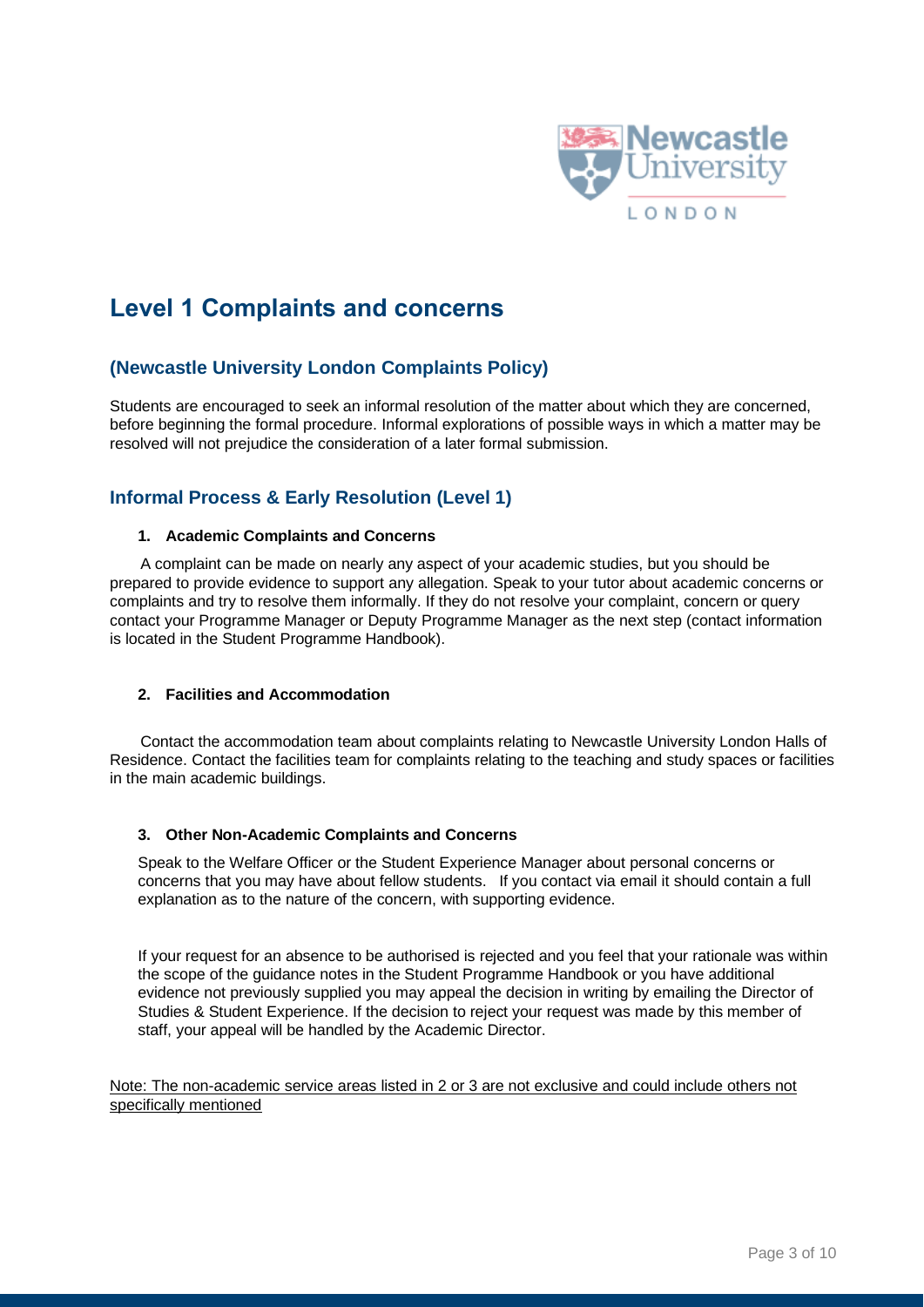

# **Level 1 Complaints and concerns**

## **(Newcastle University London Complaints Policy)**

Students are encouraged to seek an informal resolution of the matter about which they are concerned, before beginning the formal procedure. Informal explorations of possible ways in which a matter may be resolved will not prejudice the consideration of a later formal submission.

### **Informal Process & Early Resolution (Level 1)**

#### **1. Academic Complaints and Concerns**

 A complaint can be made on nearly any aspect of your academic studies, but you should be prepared to provide evidence to support any allegation. Speak to your tutor about academic concerns or complaints and try to resolve them informally. If they do not resolve your complaint, concern or query contact your Programme Manager or Deputy Programme Manager as the next step (contact information is located in the Student Programme Handbook).

#### **2. Facilities and Accommodation**

 Contact the accommodation team about complaints relating to Newcastle University London Halls of Residence. Contact the facilities team for complaints relating to the teaching and study spaces or facilities in the main academic buildings.

#### **3. Other Non-Academic Complaints and Concerns**

Speak to the Welfare Officer or the Student Experience Manager about personal concerns or concerns that you may have about fellow students. If you contact via email it should contain a full explanation as to the nature of the concern, with supporting evidence.

If your request for an absence to be authorised is rejected and you feel that your rationale was within the scope of the guidance notes in the Student Programme Handbook or you have additional evidence not previously supplied you may appeal the decision in writing by emailing the Director of Studies & Student Experience. If the decision to reject your request was made by this member of staff, your appeal will be handled by the Academic Director.

Note: The non-academic service areas listed in 2 or 3 are not exclusive and could include others not specifically mentioned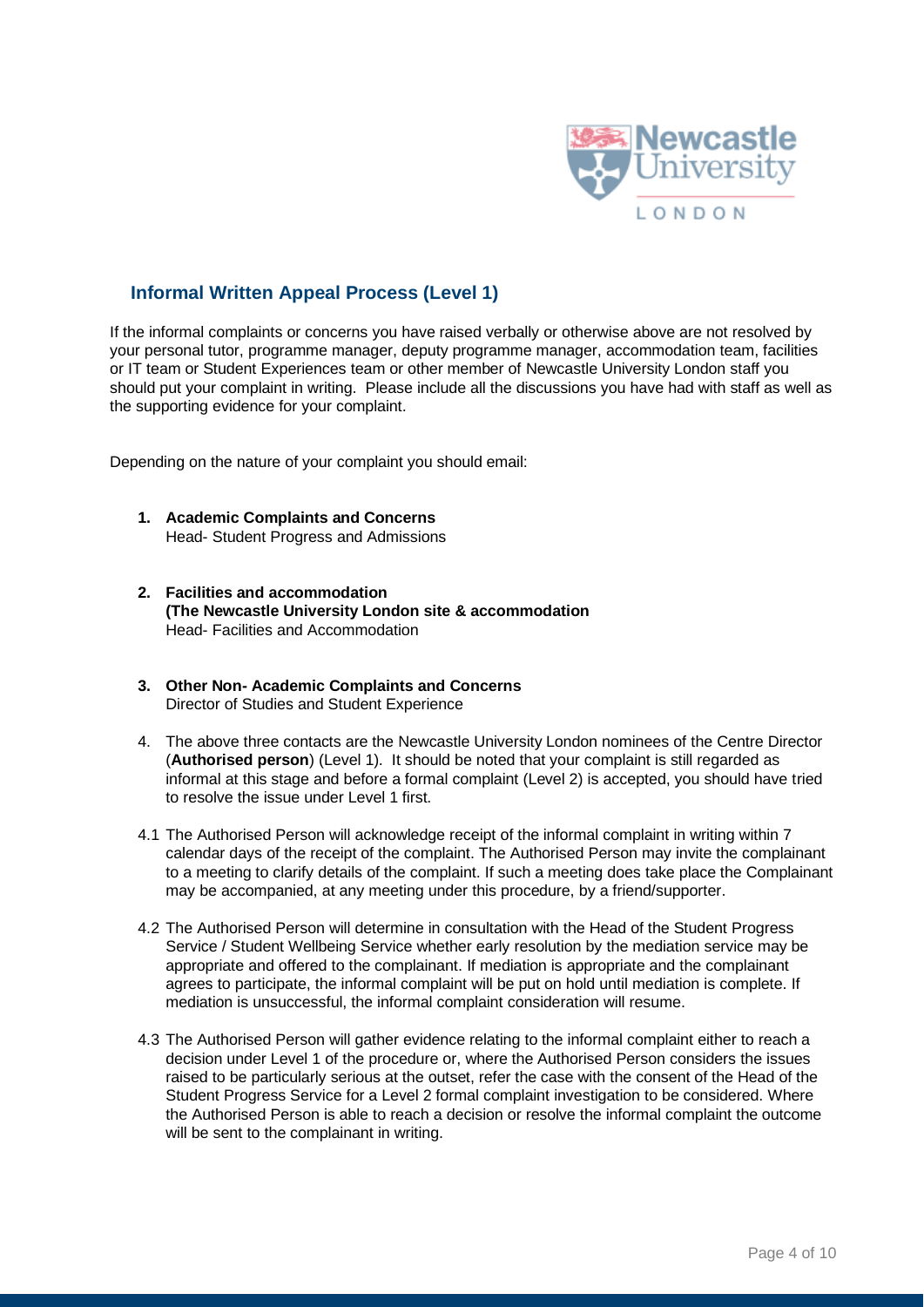

## **Informal Written Appeal Process (Level 1)**

If the informal complaints or concerns you have raised verbally or otherwise above are not resolved by your personal tutor, programme manager, deputy programme manager, accommodation team, facilities or IT team or Student Experiences team or other member of Newcastle University London staff you should put your complaint in writing. Please include all the discussions you have had with staff as well as the supporting evidence for your complaint.

Depending on the nature of your complaint you should email:

- **1. Academic Complaints and Concerns** Head- Student Progress and Admissions
- **2. Facilities and accommodation (The Newcastle University London site & accommodation** Head- Facilities and Accommodation
- **3. Other Non- Academic Complaints and Concerns** Director of Studies and Student Experience
- 4. The above three contacts are the Newcastle University London nominees of the Centre Director (**Authorised person**) (Level 1). It should be noted that your complaint is still regarded as informal at this stage and before a formal complaint (Level 2) is accepted, you should have tried to resolve the issue under Level 1 first.
- 4.1 The Authorised Person will acknowledge receipt of the informal complaint in writing within 7 calendar days of the receipt of the complaint. The Authorised Person may invite the complainant to a meeting to clarify details of the complaint. If such a meeting does take place the Complainant may be accompanied, at any meeting under this procedure, by a friend/supporter.
- 4.2 The Authorised Person will determine in consultation with the Head of the Student Progress Service / Student Wellbeing Service whether early resolution by the mediation service may be appropriate and offered to the complainant. If mediation is appropriate and the complainant agrees to participate, the informal complaint will be put on hold until mediation is complete. If mediation is unsuccessful, the informal complaint consideration will resume.
- 4.3 The Authorised Person will gather evidence relating to the informal complaint either to reach a decision under Level 1 of the procedure or, where the Authorised Person considers the issues raised to be particularly serious at the outset, refer the case with the consent of the Head of the Student Progress Service for a Level 2 formal complaint investigation to be considered. Where the Authorised Person is able to reach a decision or resolve the informal complaint the outcome will be sent to the complainant in writing.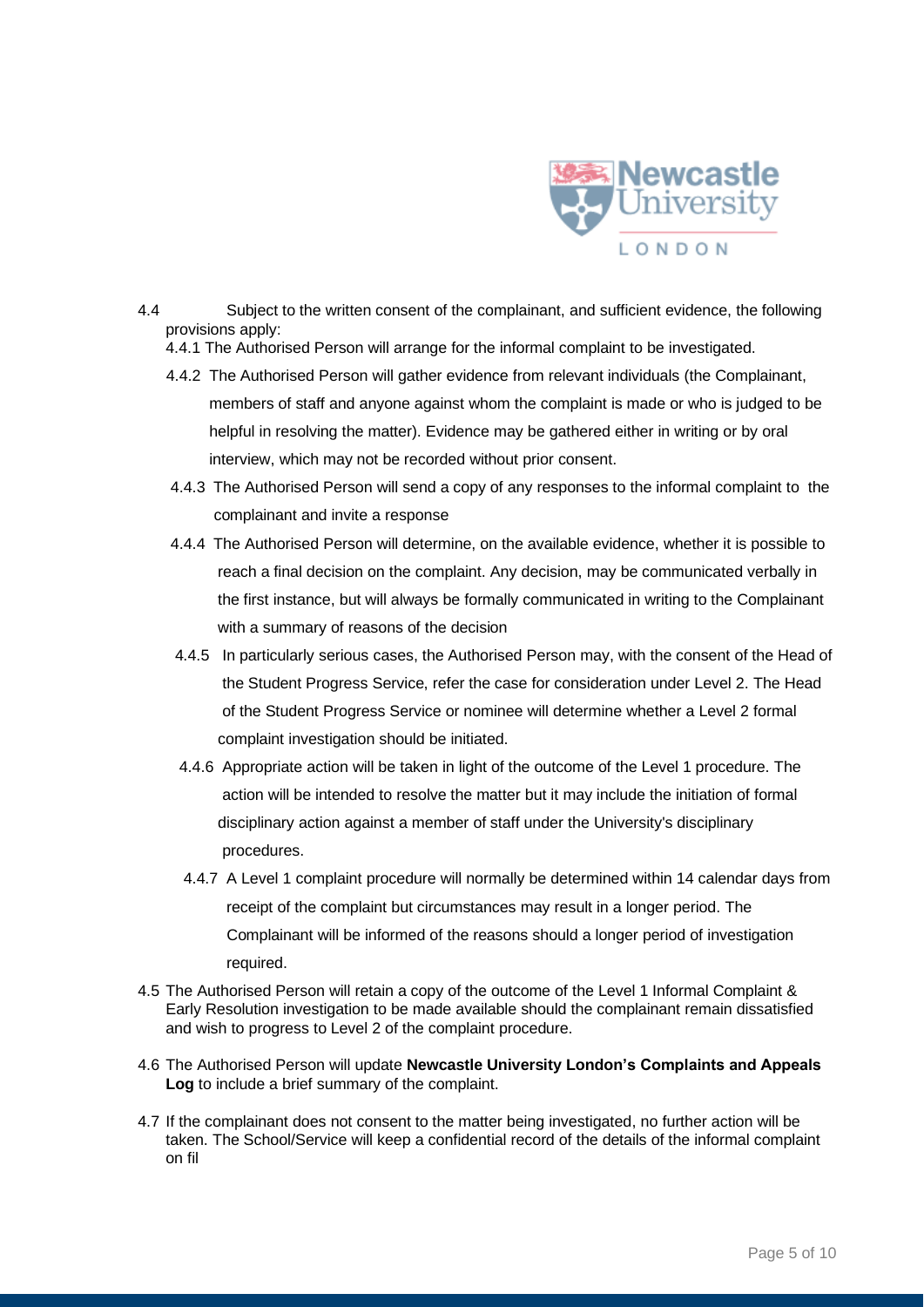

- 4.4 Subject to the written consent of the complainant, and sufficient evidence, the following provisions apply:
	- 4.4.1 The Authorised Person will arrange for the informal complaint to be investigated.
	- 4.4.2 The Authorised Person will gather evidence from relevant individuals (the Complainant, members of staff and anyone against whom the complaint is made or who is judged to be helpful in resolving the matter). Evidence may be gathered either in writing or by oral interview, which may not be recorded without prior consent.
	- 4.4.3 The Authorised Person will send a copy of any responses to the informal complaint to the complainant and invite a response
	- 4.4.4 The Authorised Person will determine, on the available evidence, whether it is possible to reach a final decision on the complaint. Any decision, may be communicated verbally in the first instance, but will always be formally communicated in writing to the Complainant with a summary of reasons of the decision
	- 4.4.5 In particularly serious cases, the Authorised Person may, with the consent of the Head of the Student Progress Service, refer the case for consideration under Level 2. The Head of the Student Progress Service or nominee will determine whether a Level 2 formal complaint investigation should be initiated.
	- 4.4.6 Appropriate action will be taken in light of the outcome of the Level 1 procedure. The action will be intended to resolve the matter but it may include the initiation of formal disciplinary action against a member of staff under the University's disciplinary procedures.
	- 4.4.7 A Level 1 complaint procedure will normally be determined within 14 calendar days from receipt of the complaint but circumstances may result in a longer period. The Complainant will be informed of the reasons should a longer period of investigation required.
- 4.5 The Authorised Person will retain a copy of the outcome of the Level 1 Informal Complaint & Early Resolution investigation to be made available should the complainant remain dissatisfied and wish to progress to Level 2 of the complaint procedure.
- 4.6 The Authorised Person will update **Newcastle University London's Complaints and Appeals Log** to include a brief summary of the complaint.
- 4.7 If the complainant does not consent to the matter being investigated, no further action will be taken. The School/Service will keep a confidential record of the details of the informal complaint on fil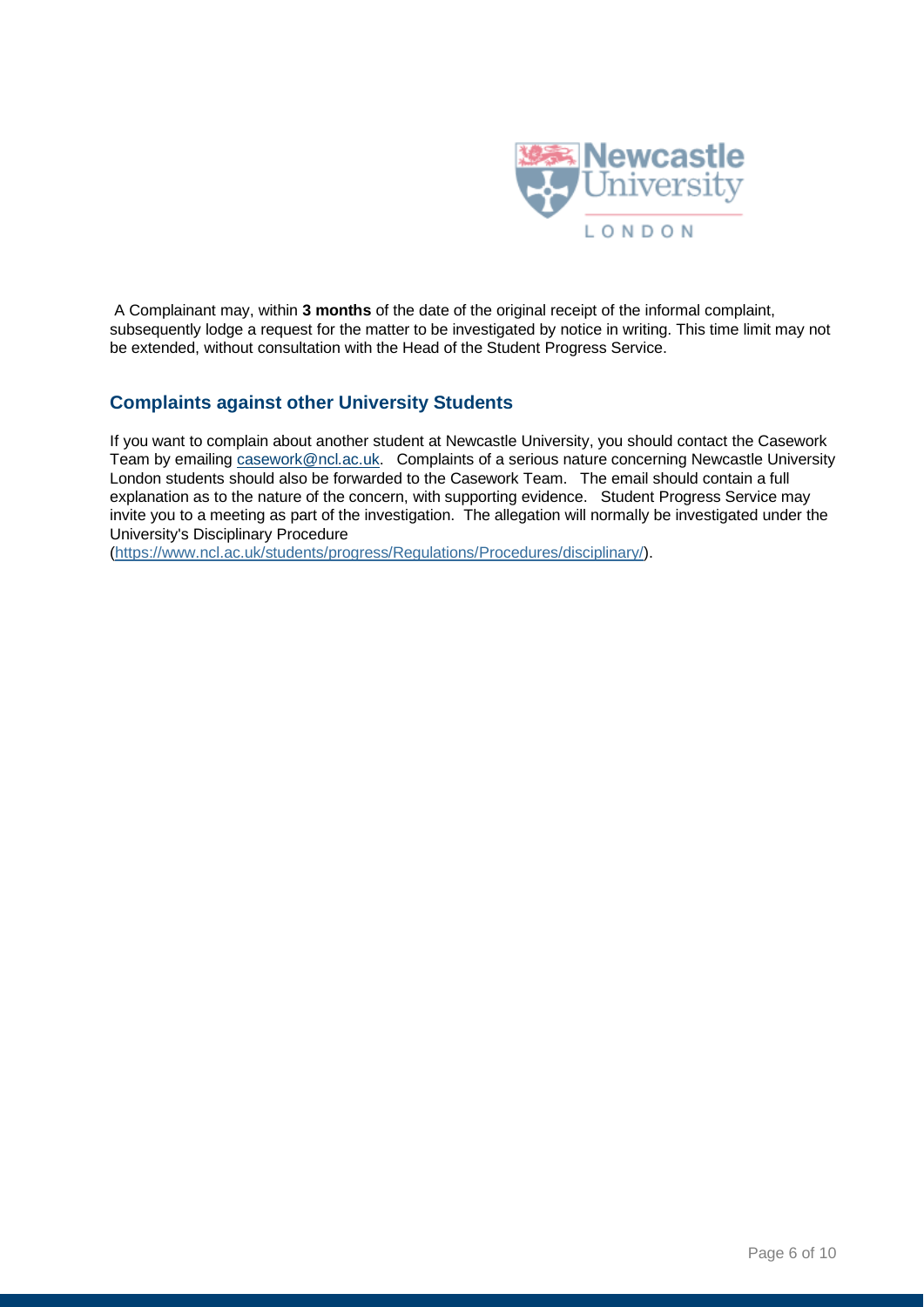

A Complainant may, within **3 months** of the date of the original receipt of the informal complaint, subsequently lodge a request for the matter to be investigated by notice in writing. This time limit may not be extended, without consultation with the Head of the Student Progress Service.

### **Complaints against other University Students**

If you want to complain about another student at Newcastle University, you should contact the Casework Team by emailing casework@ncl.ac.uk. Complaints of a serious nature concerning Newcastle University London students should also be forwarded to the Casework Team. The email should contain a full explanation as to the nature of the concern, with supporting evidence. Student Progress Service may invite you to a meeting as part of the investigation. The allegation will normally be investigated under the University's Disciplinary Procedure

[\(https://www.ncl.ac.uk/students/progress/Regulations/Procedures/disciplinary/\)](https://www.ncl.ac.uk/students/progress/Regulations/Procedures/disciplinary/).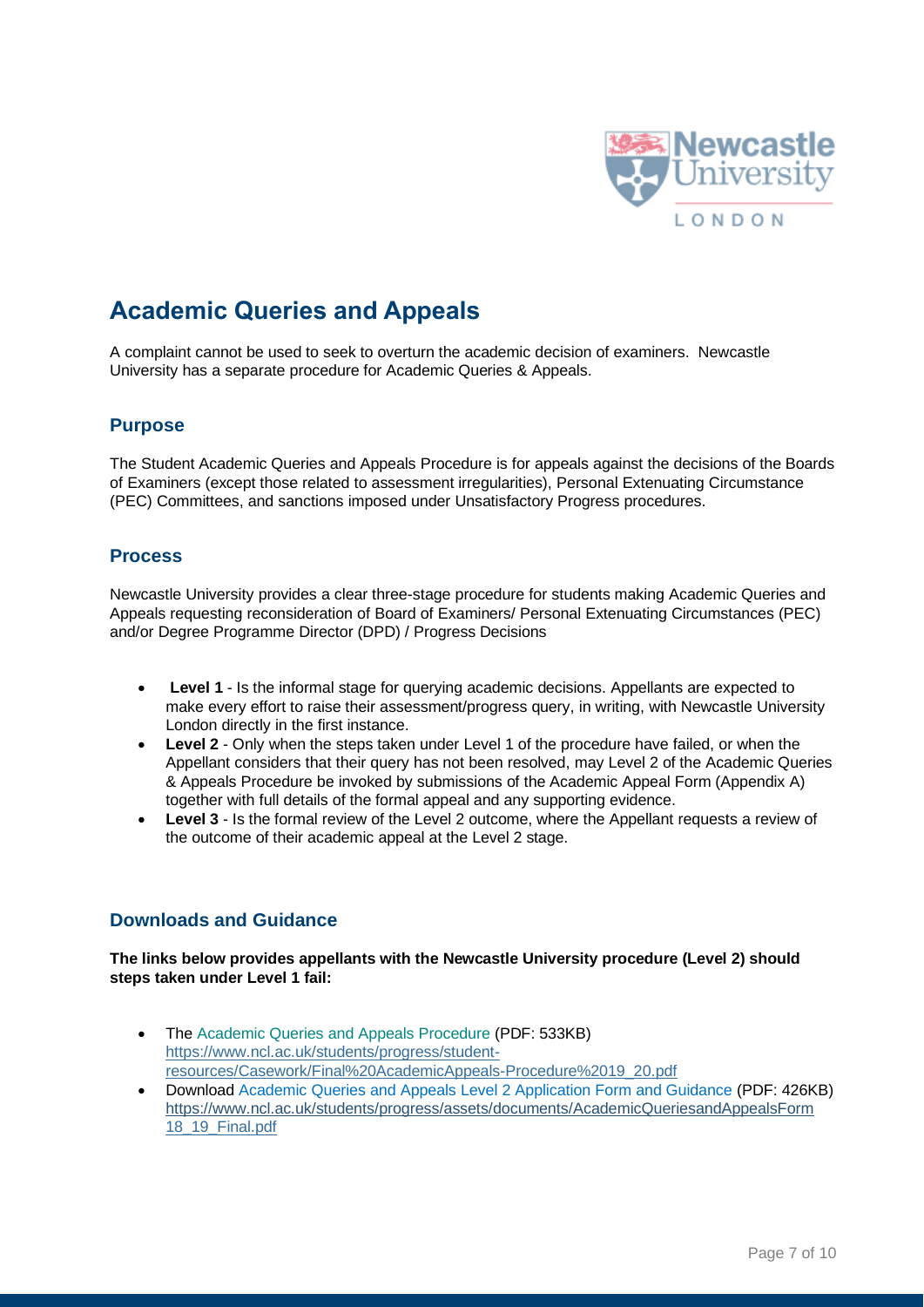

# **Academic Queries and Appeals**

A complaint cannot be used to seek to overturn the academic decision of examiners. Newcastle University has a separate procedure for Academic Queries & Appeals.

### **Purpose**

The Student Academic Queries and Appeals Procedure is for appeals against the decisions of the Boards of Examiners (except those related to assessment irregularities), Personal Extenuating Circumstance (PEC) Committees, and sanctions imposed under Unsatisfactory Progress procedures.

#### **Process**

Newcastle University provides a clear three-stage procedure for students making Academic Queries and Appeals requesting reconsideration of Board of Examiners/ Personal Extenuating Circumstances (PEC) and/or Degree Programme Director (DPD) / Progress Decisions

- **Level 1** Is the informal stage for querying academic decisions. Appellants are expected to make every effort to raise their assessment/progress query, in writing, with Newcastle University London directly in the first instance.
- **Level 2** Only when the steps taken under Level 1 of the procedure have failed, or when the Appellant considers that their query has not been resolved, may Level 2 of the Academic Queries & Appeals Procedure be invoked by submissions of the Academic Appeal Form (Appendix A) together with full details of the formal appeal and any supporting evidence.
- **Level 3**  Is the formal review of the Level 2 outcome, where the Appellant requests a review of the outcome of their academic appeal at the Level 2 stage.

#### **Downloads and Guidance**

**The links below provides appellants with the Newcastle University procedure (Level 2) should steps taken under Level 1 fail:** 

- The Academic Queries and Appeals Procedure (PDF: 533KB) [https://www.ncl.ac.uk/students/progress/student](https://www.ncl.ac.uk/students/progress/student-resources/Casework/Final%20AcademicAppeals-Procedure%2019_20.pdf)[resources/Casework/Final%20AcademicAppeals-Procedure%2019\\_20.pdf](https://www.ncl.ac.uk/students/progress/student-resources/Casework/Final%20AcademicAppeals-Procedure%2019_20.pdf)
- Download Academic Queries and Appeals Level 2 Application Form and Guidance (PDF: 426KB) [https://www.ncl.ac.uk/students/progress/assets/documents/AcademicQueriesandAppealsForm](https://www.ncl.ac.uk/students/progress/assets/documents/AcademicQueriesandAppealsForm%2018_19_Final.pdf)  [18\\_19\\_Final.pdf](https://www.ncl.ac.uk/students/progress/assets/documents/AcademicQueriesandAppealsForm%2018_19_Final.pdf)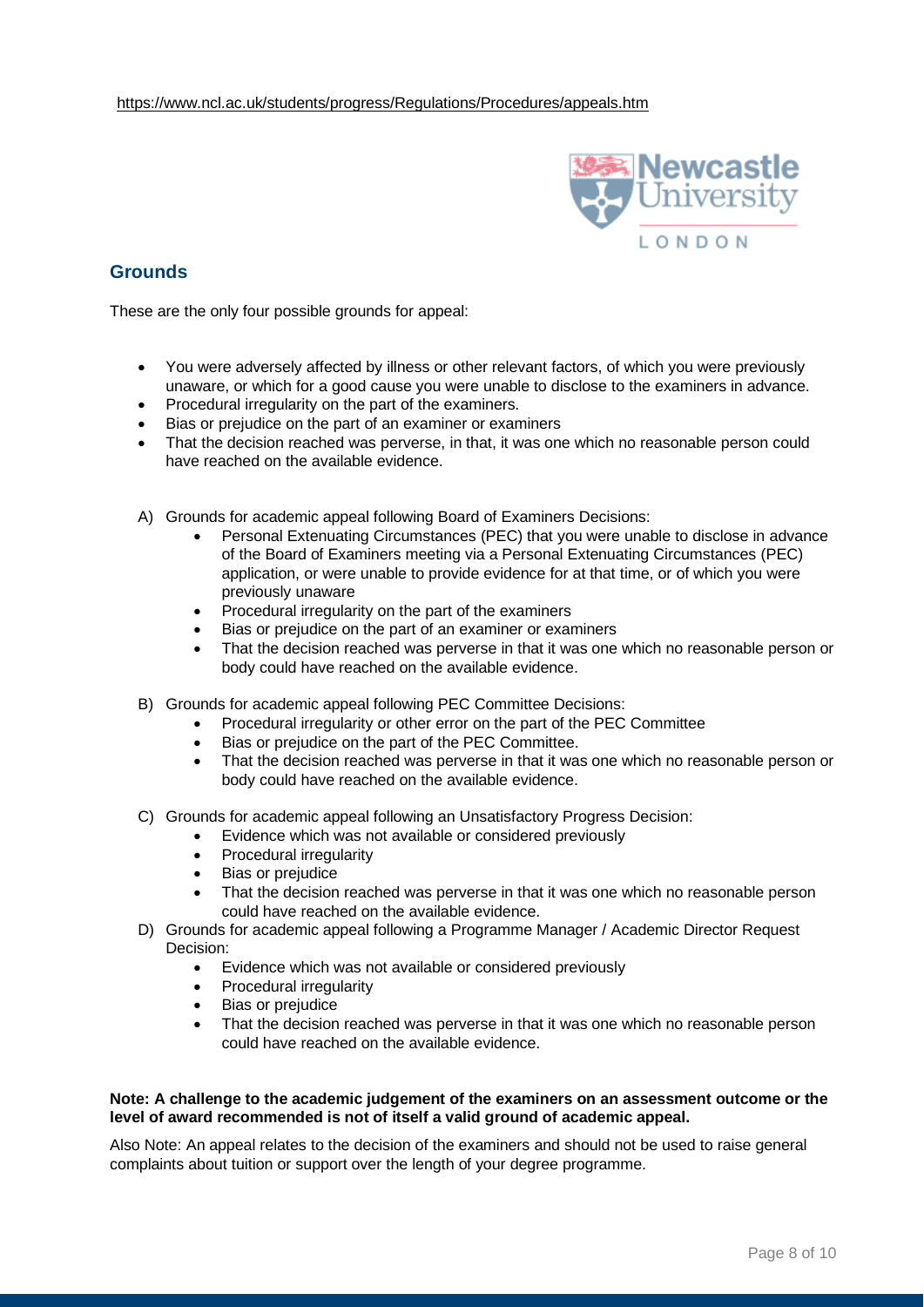

### **Grounds**

These are the only four possible grounds for appeal:

- You were adversely affected by illness or other relevant factors, of which you were previously unaware, or which for a good cause you were unable to disclose to the examiners in advance.
- Procedural irregularity on the part of the examiners.
- Bias or prejudice on the part of an examiner or examiners
- That the decision reached was perverse, in that, it was one which no reasonable person could have reached on the available evidence.
- A) Grounds for academic appeal following Board of Examiners Decisions:
	- Personal Extenuating Circumstances (PEC) that you were unable to disclose in advance of the Board of Examiners meeting via a Personal Extenuating Circumstances (PEC) application, or were unable to provide evidence for at that time, or of which you were previously unaware
	- Procedural irregularity on the part of the examiners
	- Bias or prejudice on the part of an examiner or examiners
	- That the decision reached was perverse in that it was one which no reasonable person or body could have reached on the available evidence.
- B) Grounds for academic appeal following PEC Committee Decisions:
	- Procedural irregularity or other error on the part of the PEC Committee
	- Bias or prejudice on the part of the PEC Committee.
	- That the decision reached was perverse in that it was one which no reasonable person or body could have reached on the available evidence.
- C) Grounds for academic appeal following an Unsatisfactory Progress Decision:
	- Evidence which was not available or considered previously
	- Procedural irregularity
	- Bias or prejudice
	- That the decision reached was perverse in that it was one which no reasonable person could have reached on the available evidence.
- D) Grounds for academic appeal following a Programme Manager / Academic Director Request Decision:
	- Evidence which was not available or considered previously
	- Procedural irregularity
	- Bias or prejudice
	- That the decision reached was perverse in that it was one which no reasonable person could have reached on the available evidence.

#### **Note: A challenge to the academic judgement of the examiners on an assessment outcome or the level of award recommended is not of itself a valid ground of academic appeal.**

Also Note: An appeal relates to the decision of the examiners and should not be used to raise general complaints about tuition or support over the length of your degree programme.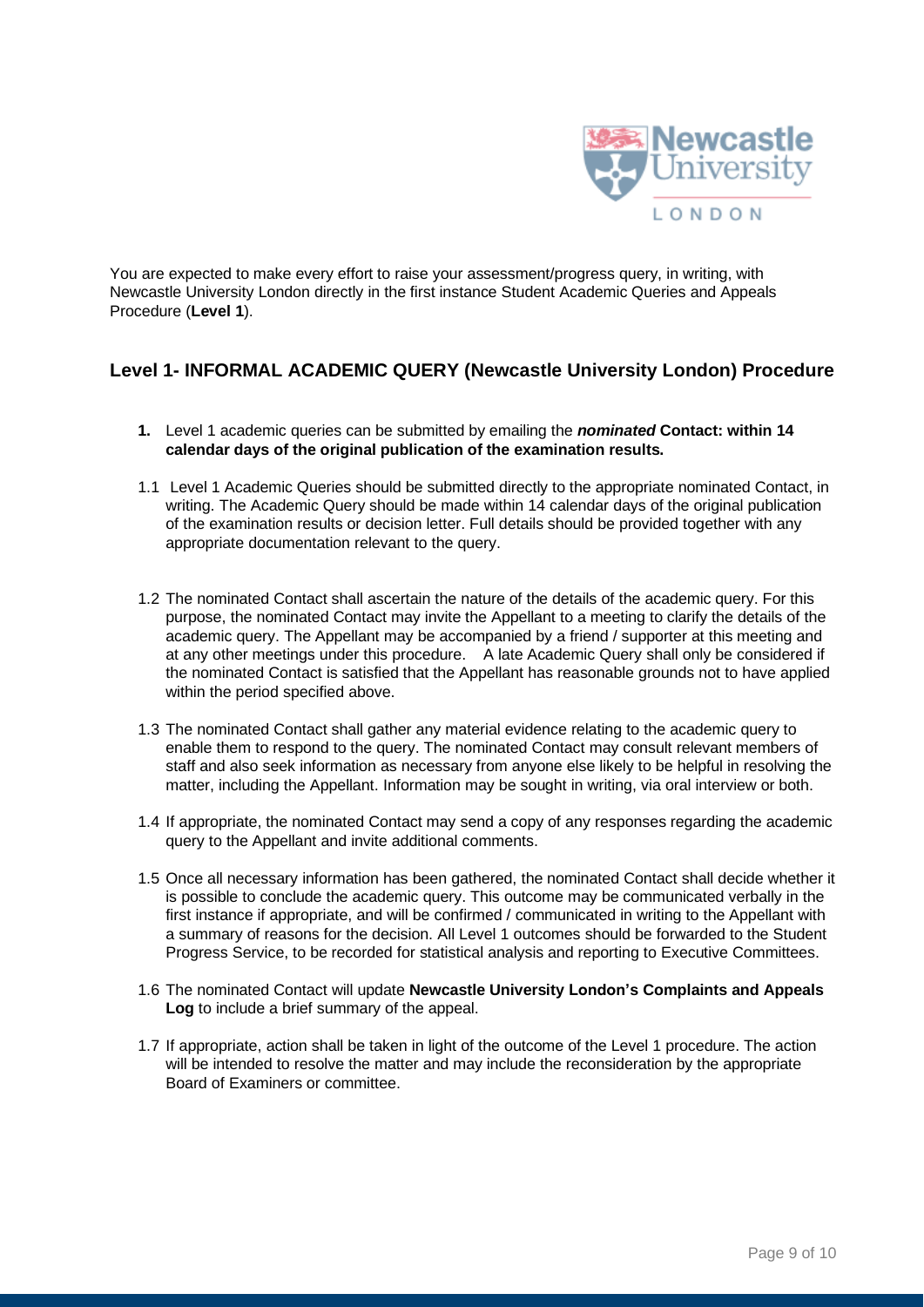

You are expected to make every effort to raise your assessment/progress query, in writing, with Newcastle University London directly in the first instance Student Academic Queries and Appeals Procedure (**Level 1**).

## **Level 1- INFORMAL ACADEMIC QUERY (Newcastle University London) Procedure**

- **1.** Level 1 academic queries can be submitted by emailing the *nominated* **Contact: within 14 calendar days of the original publication of the examination results.**
- 1.1 Level 1 Academic Queries should be submitted directly to the appropriate nominated Contact, in writing. The Academic Query should be made within 14 calendar days of the original publication of the examination results or decision letter. Full details should be provided together with any appropriate documentation relevant to the query.
- 1.2 The nominated Contact shall ascertain the nature of the details of the academic query. For this purpose, the nominated Contact may invite the Appellant to a meeting to clarify the details of the academic query. The Appellant may be accompanied by a friend / supporter at this meeting and at any other meetings under this procedure. A late Academic Query shall only be considered if the nominated Contact is satisfied that the Appellant has reasonable grounds not to have applied within the period specified above.
- 1.3 The nominated Contact shall gather any material evidence relating to the academic query to enable them to respond to the query. The nominated Contact may consult relevant members of staff and also seek information as necessary from anyone else likely to be helpful in resolving the matter, including the Appellant. Information may be sought in writing, via oral interview or both.
- 1.4 If appropriate, the nominated Contact may send a copy of any responses regarding the academic query to the Appellant and invite additional comments.
- 1.5 Once all necessary information has been gathered, the nominated Contact shall decide whether it is possible to conclude the academic query. This outcome may be communicated verbally in the first instance if appropriate, and will be confirmed / communicated in writing to the Appellant with a summary of reasons for the decision. All Level 1 outcomes should be forwarded to the Student Progress Service, to be recorded for statistical analysis and reporting to Executive Committees.
- 1.6 The nominated Contact will update **Newcastle University London's Complaints and Appeals Log** to include a brief summary of the appeal.
- 1.7 If appropriate, action shall be taken in light of the outcome of the Level 1 procedure. The action will be intended to resolve the matter and may include the reconsideration by the appropriate Board of Examiners or committee.